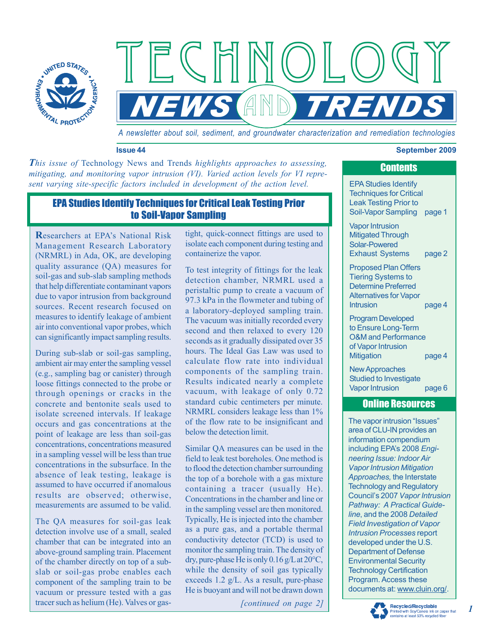

*A newsletter about soil, sediment, and groundwater characterization and remediation technologies*

**NEWS AND TRENDS** 

#### **Issue 44 September 2009**

This issue of Technology News and Trends *highlights approaches to assessing*, *mitigating, and monitoring vapor intrusion (VI). Varied action levels for VI represent varying site-specific factors included in development of the action level.*

# EPA Studies Identify Techniques for Critical Leak Testing Prior to Soil-Vapor Sampling

**R**esearchers at EPA's National Risk Management Research Laboratory (NRMRL) in Ada, OK, are developing quality assurance (QA) measures for soil-gas and sub-slab sampling methods that help differentiate contaminant vapors due to vapor intrusion from background sources. Recent research focused on measures to identify leakage of ambient air into conventional vapor probes, which can significantly impact sampling results.

During sub-slab or soil-gas sampling, ambient air may enter the sampling vessel (e.g., sampling bag or canister) through loose fittings connected to the probe or through openings or cracks in the concrete and bentonite seals used to isolate screened intervals. If leakage occurs and gas concentrations at the point of leakage are less than soil-gas concentrations, concentrations measured in a sampling vessel will be less than true concentrations in the subsurface. In the absence of leak testing, leakage is assumed to have occurred if anomalous results are observed; otherwise, measurements are assumed to be valid.

The QA measures for soil-gas leak detection involve use of a small, sealed chamber that can be integrated into an above-ground sampling train. Placement of the chamber directly on top of a subslab or soil-gas probe enables each component of the sampling train to be vacuum or pressure tested with a gas tracer such as helium (He). Valves or gastight, quick-connect fittings are used to isolate each component during testing and containerize the vapor.

ECHNOL

To test integrity of fittings for the leak detection chamber, NRMRL used a peristaltic pump to create a vacuum of 97.3 kPa in the flowmeter and tubing of a laboratory-deployed sampling train. The vacuum was initially recorded every second and then relaxed to every 120 seconds as it gradually dissipated over 35 hours. The Ideal Gas Law was used to calculate flow rate into individual components of the sampling train. Results indicated nearly a complete vacuum, with leakage of only 0.72 standard cubic centimeters per minute. NRMRL considers leakage less than 1% of the flow rate to be insignificant and below the detection limit.

Similar QA measures can be used in the field to leak test boreholes. One method is to flood the detection chamber surrounding the top of a borehole with a gas mixture containing a tracer (usually He). Concentrations in the chamber and line or in the sampling vessel are then monitored. Typically, He is injected into the chamber as a pure gas, and a portable thermal conductivity detector (TCD) is used to monitor the sampling train. The density of dry, pure-phase He is only 0.16 g/L at 20°C, while the density of soil gas typically exceeds 1.2 g/L. As a result, pure-phase He is buoyant and will not be drawn down

*[continued on page 2]*

EPA Studies Identify Techniques for Critical Leak Testing Prior to Soil-Vapor Sampling page 1 Vapor Intrusion

Mitigated Through Solar-Powered Exhaust Systems page 2

Proposed Plan Offers Tiering Systems to Determine Preferred Alternatives for Vapor Intrusion page 4

Program Developed to Ensure Long-Term O&M and Performance of Vapor Intrusion Mitigation page 4

New Approaches Studied to Investigate Vapor Intrusion page 6

#### Online Resources

The vapor intrusion "Issues" area of CLU-IN provides an information compendium including EPA's 2008 *Engineering Issue: Indoor Air Vapor Intrusion Mitigation Approaches,* the Interstate Technology and Regulatory Council's 2007 *Vapor Intrusion Pathway: A Practical Guideline*, and the 2008 *Detailed Field Investigation of Vapor Intrusion Processes* report developed under the U.S. Department of Defense Environmental Security Technology Certification Program. Access these documents at: www.cluin.org/.



*1*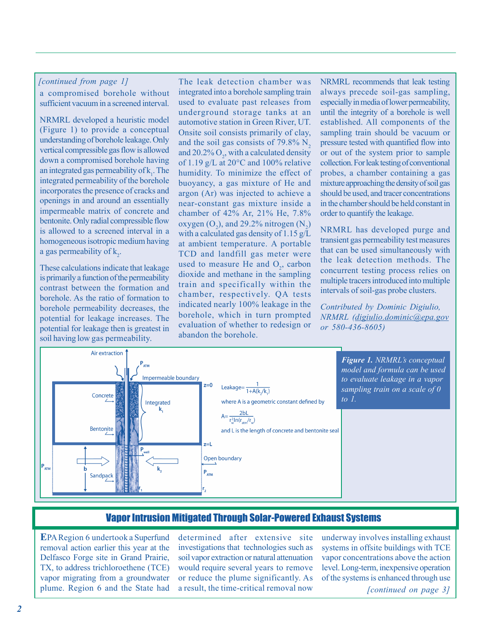#### *[continued from page 1]*

a compromised borehole without sufficient vacuum in a screened interval.

NRMRL developed a heuristic model (Figure 1) to provide a conceptual understanding of borehole leakage. Only vertical compressible gas flow is allowed down a compromised borehole having an integrated gas permeability of  $k_1$ . The integrated permeability of the borehole incorporates the presence of cracks and openings in and around an essentially impermeable matrix of concrete and bentonite. Only radial compressible flow is allowed to a screened interval in a homogeneous isotropic medium having a gas permeability of  $k_2$ .

These calculations indicate that leakage is primarily a function of the permeability contrast between the formation and borehole. As the ratio of formation to borehole permeability decreases, the potential for leakage increases. The potential for leakage then is greatest in soil having low gas permeability.

The leak detection chamber was integrated into a borehole sampling train used to evaluate past releases from underground storage tanks at an automotive station in Green River, UT. Onsite soil consists primarily of clay, and the soil gas consists of 79.8%  $N<sub>2</sub>$ and 20.2%  $O_2$ , with a calculated density of 1.19 g/L at 20°C and 100% relative humidity. To minimize the effect of buoyancy, a gas mixture of He and argon (Ar) was injected to achieve a near-constant gas mixture inside a chamber of 42% Ar, 21% He, 7.8% oxygen  $(O_2)$ , and 29.2% nitrogen  $(N_2)$ with a calculated gas density of 1.15  $g/L$ at ambient temperature. A portable TCD and landfill gas meter were used to measure He and  $O_2$ , carbon dioxide and methane in the sampling train and specifically within the chamber, respectively. QA tests indicated nearly 100% leakage in the borehole, which in turn prompted evaluation of whether to redesign or abandon the borehole.

NRMRL recommends that leak testing always precede soil-gas sampling, especially in media of lower permeability, until the integrity of a borehole is well established. All components of the sampling train should be vacuum or pressure tested with quantified flow into or out of the system prior to sample collection. For leak testing of conventional probes, a chamber containing a gas mixture approaching the density of soil gas should be used, and tracer concentrations in the chamber should be held constant in order to quantify the leakage.

NRMRL has developed purge and transient gas permeability test measures that can be used simultaneously with the leak detection methods. The concurrent testing process relies on multiple tracers introduced into multiple intervals of soil-gas probe clusters.

*Contributed by Dominic Digiulio, NRMRL (digiulio.dominic@epa.gov or 580-436-8605)*



## Vapor Intrusion Mitigated Through Solar-Powered Exhaust Systems

**E**PA Region 6 undertook a Superfund removal action earlier this year at the Delfasco Forge site in Grand Prairie, TX, to address trichloroethene (TCE) vapor migrating from a groundwater plume. Region 6 and the State had determined after extensive site investigations that technologies such as soil vapor extraction or natural attenuation would require several years to remove or reduce the plume significantly. As a result, the time-critical removal now

underway involves installing exhaust systems in offsite buildings with TCE vapor concentrations above the action level. Long-term, inexpensive operation of the systems is enhanced through use

*[continued on page 3]*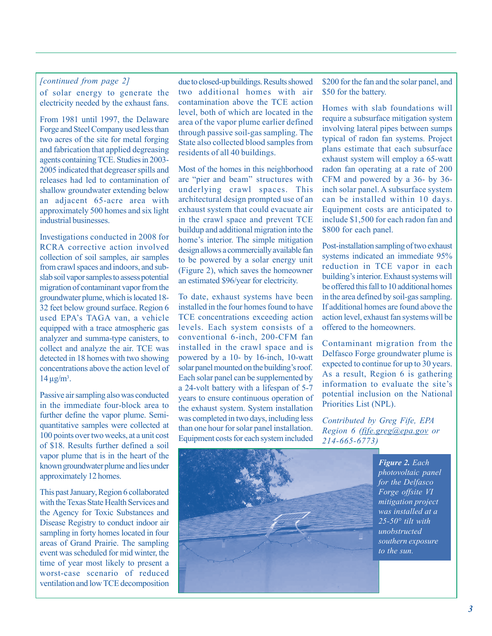### *[continued from page 2]*

of solar energy to generate the electricity needed by the exhaust fans.

From 1981 until 1997, the Delaware Forge and Steel Company used less than two acres of the site for metal forging and fabrication that applied degreasing agents containing TCE. Studies in 2003- 2005 indicated that degreaser spills and releases had led to contamination of shallow groundwater extending below an adjacent 65-acre area with approximately 500 homes and six light industrial businesses.

Investigations conducted in 2008 for RCRA corrective action involved collection of soil samples, air samples from crawl spaces and indoors, and subslab soil vapor samples to assess potential migration of contaminant vapor from the groundwater plume, which is located 18- 32 feet below ground surface. Region 6 used EPA's TAGA van, a vehicle equipped with a trace atmospheric gas analyzer and summa-type canisters, to collect and analyze the air. TCE was detected in 18 homes with two showing concentrations above the action level of  $14 \mu g/m^3$ .

Passive air sampling also was conducted in the immediate four-block area to further define the vapor plume. Semiquantitative samples were collected at 100 points over two weeks, at a unit cost of \$18. Results further defined a soil vapor plume that is in the heart of the known groundwater plume and lies under approximately 12 homes.

This past January, Region 6 collaborated with the Texas State Health Services and the Agency for Toxic Substances and Disease Registry to conduct indoor air sampling in forty homes located in four areas of Grand Prairie. The sampling event was scheduled for mid winter, the time of year most likely to present a worst-case scenario of reduced ventilation and low TCE decomposition

due to closed-up buildings. Results showed two additional homes with air contamination above the TCE action level, both of which are located in the area of the vapor plume earlier defined through passive soil-gas sampling. The State also collected blood samples from residents of all 40 buildings.

Most of the homes in this neighborhood are "pier and beam" structures with underlying crawl spaces. This architectural design prompted use of an exhaust system that could evacuate air in the crawl space and prevent TCE buildup and additional migration into the home's interior. The simple mitigation design allows a commercially available fan to be powered by a solar energy unit (Figure 2), which saves the homeowner an estimated \$96/year for electricity.

To date, exhaust systems have been installed in the four homes found to have TCE concentrations exceeding action levels. Each system consists of a conventional 6-inch, 200-CFM fan installed in the crawl space and is powered by a 10- by 16-inch, 10-watt solar panel mounted on the building's roof. Each solar panel can be supplemented by a 24-volt battery with a lifespan of 5-7 years to ensure continuous operation of the exhaust system. System installation was completed in two days, including less than one hour for solar panel installation. Equipment costs for each system included

\$200 for the fan and the solar panel, and \$50 for the battery.

Homes with slab foundations will require a subsurface mitigation system involving lateral pipes between sumps typical of radon fan systems. Project plans estimate that each subsurface exhaust system will employ a 65-watt radon fan operating at a rate of 200 CFM and powered by a 36- by 36 inch solar panel. A subsurface system can be installed within 10 days. Equipment costs are anticipated to include \$1,500 for each radon fan and \$800 for each panel.

Post-installation sampling of two exhaust systems indicated an immediate 95% reduction in TCE vapor in each building's interior. Exhaust systems will be offered this fall to 10 additional homes in the area defined by soil-gas sampling. If additional homes are found above the action level, exhaust fan systems will be offered to the homeowners.

Contaminant migration from the Delfasco Forge groundwater plume is expected to continue for up to 30 years. As a result, Region 6 is gathering information to evaluate the site's potential inclusion on the National Priorities List (NPL).

*Contributed by Greg Fife, EPA Region 6 (fife.greg@epa.gov or 214-665-6773)*



*Figure 2. Each photovoltaic panel for the Delfasco Forge offsite VI mitigation project was installed at a 25-50° tilt with unobstructed southern exposure to the sun.*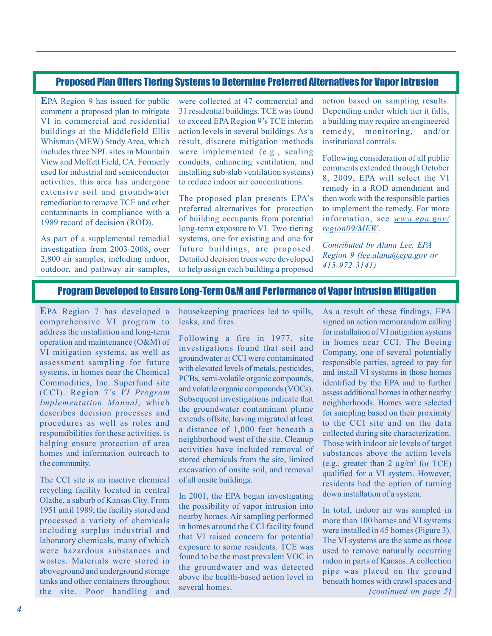### Proposed Plan Offers Tiering Systems to Determine Preferred Alternatives for Vapor Intrusion

**E**PA Region 9 has issued for public comment a proposed plan to mitigate VI in commercial and residential buildings at the Middlefield Ellis Whisman (MEW) Study Area, which includes three NPL sites in Mountain View and Moffett Field, CA. Formerly used for industrial and semiconductor activities, this area has undergone extensive soil and groundwater remediation to remove TCE and other contaminants in compliance with a 1989 record of decision (ROD).

As part of a supplemental remedial investigation from 2003-2008, over 2,800 air samples, including indoor, outdoor, and pathway air samples,

were collected at 47 commercial and 31 residential buildings. TCE was found to exceed EPA Region 9's TCE interim action levels in several buildings. As a result, discrete mitigation methods were implemented (e.g., sealing conduits, enhancing ventilation, and installing sub-slab ventilation systems) to reduce indoor air concentrations.

The proposed plan presents EPA's preferred alternatives for protection of building occupants from potential long-term exposure to VI. Two tiering systems, one for existing and one for future buildings, are proposed. Detailed decision trees were developed to help assign each building a proposed action based on sampling results. Depending under which tier it falls, a building may require an engineered remedy, monitoring, and/or institutional controls.

Following consideration of all public comments extended through October 8, 2009, EPA will select the VI remedy in a ROD amendment and then work with the responsible parties to implement the remedy. For more information, see *www.epa.gov/ region09/MEW*.

*Contributed by Alana Lee, EPA Region 9 (lee.alana@epa.gov or 415-972-3141)*

### Program Developed to Ensure Long-Term O&M and Performance of Vapor Intrusion Mitigation

**E**PA Region 7 has developed a comprehensive VI program to address the installation and long-term operation and maintenance (O&M) of VI mitigation systems, as well as assessment sampling for future systems, in homes near the Chemical Commodities, Inc. Superfund site (CCI). Region 7's *VI Program Implementation Manual*, which describes decision processes and procedures as well as roles and responsibilities for these activities, is helping ensure protection of area homes and information outreach to the community.

The CCI site is an inactive chemical recycling facility located in central Olathe, a suburb of Kansas City. From 1951 until 1989, the facility stored and processed a variety of chemicals including surplus industrial and laboratory chemicals, many of which were hazardous substances and wastes. Materials were stored in aboveground and underground storage tanks and other containers throughout the site. Poor handling and <sup>several</sup> nomes. (*continued on page 5]* 

housekeeping practices led to spills, leaks, and fires.

Following a fire in 1977, site investigations found that soil and groundwater at CCI were contaminated with elevated levels of metals, pesticides, PCBs, semi-volatile organic compounds, and volatile organic compounds (VOCs). Subsequent investigations indicate that the groundwater contaminant plume extends offsite, having migrated at least a distance of 1,000 feet beneath a neighborhood west of the site. Cleanup activities have included removal of stored chemicals from the site, limited excavation of onsite soil, and removal of all onsite buildings.

In 2001, the EPA began investigating the possibility of vapor intrusion into nearby homes. Air sampling performed in homes around the CCI facility found that VI raised concern for potential exposure to some residents. TCE was found to be the most prevalent VOC in the groundwater and was detected above the health-based action level in several homes.

As a result of these findings, EPA signed an action memorandum calling for installation of VI mitigation systems in homes near CCI. The Boeing Company, one of several potentially responsible parties, agreed to pay for and install VI systems in those homes identified by the EPA and to further assess additional homes in other nearby neighborhoods. Homes were selected for sampling based on their proximity to the CCI site and on the data collected during site characterization. Those with indoor air levels of target substances above the action levels (e.g., greater than  $2 \mu g/m^3$  for TCE) qualified for a VI system. However, residents had the option of turning down installation of a system.

In total, indoor air was sampled in more than 100 homes and VI systems were installed in 45 homes (Figure 3). The VI systems are the same as those used to remove naturally occurring radon in parts of Kansas. A collection pipe was placed on the ground beneath homes with crawl spaces and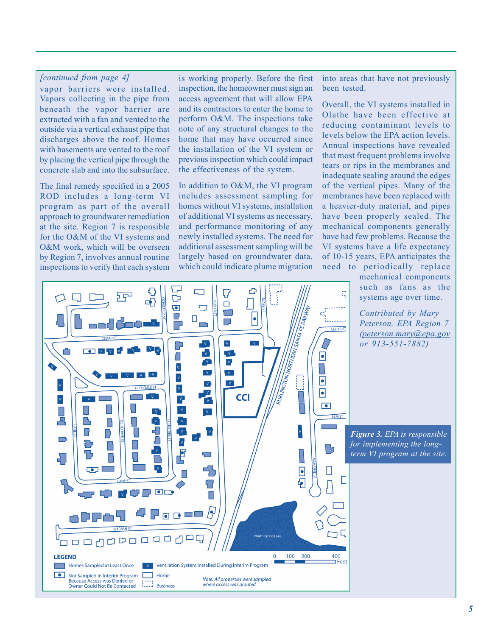#### *[continued from page 4]*

vapor barriers were installed. Vapors collecting in the pipe from beneath the vapor barrier are extracted with a fan and vented to the outside via a vertical exhaust pipe that discharges above the roof. Homes with basements are vented to the roof by placing the vertical pipe through the concrete slab and into the subsurface.

The final remedy specified in a 2005 ROD includes a long-term VI program as part of the overall approach to groundwater remediation at the site. Region 7 is responsible for the O&M of the VI systems and O&M work, which will be overseen by Region 7, involves annual routine inspections to verify that each system

⊓⊐

is working properly. Before the first inspection, the homeowner must sign an access agreement that will allow EPA and its contractors to enter the home to perform O&M. The inspections take note of any structural changes to the home that may have occurred since the installation of the VI system or previous inspection which could impact the effectiveness of the system.

In addition to O&M, the VI program includes assessment sampling for homes without VI systems, installation of additional VI systems as necessary, and performance monitoring of any newly installed systems. The need for additional assessment sampling will be largely based on groundwater data, which could indicate plume migration

into areas that have not previously been tested.

Overall, the VI systems installed in Olathe have been effective at reducing contaminant levels to levels below the EPA action levels. Annual inspections have revealed that most frequent problems involve tears or rips in the membranes and inadequate sealing around the edges of the vertical pipes. Many of the membranes have been replaced with a heavier-duty material, and pipes have been properly sealed. The mechanical components generally have had few problems. Because the VI systems have a life expectancy of 10-15 years, EPA anticipates the need to periodically replace

mechanical components such as fans as the systems age over time.